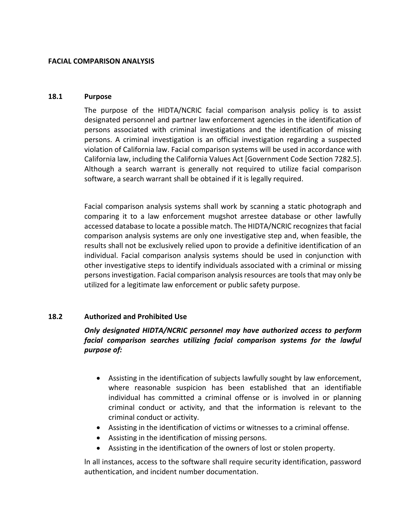### **FACIAL COMPARISON ANALYSIS**

### **18.1 Purpose**

The purpose of the HIDTA/NCRIC facial comparison analysis policy is to assist designated personnel and partner law enforcement agencies in the identification of persons associated with criminal investigations and the identification of missing persons. A criminal investigation is an official investigation regarding a suspected violation of California law. Facial comparison systems will be used in accordance with California law, including the California Values Act [Government Code Section 7282.5]. Although a search warrant is generally not required to utilize facial comparison software, a search warrant shall be obtained if it is legally required.

Facial comparison analysis systems shall work by scanning a static photograph and comparing it to a law enforcement mugshot arrestee database or other lawfully accessed database to locate a possible match. The HIDTA/NCRIC recognizes that facial comparison analysis systems are only one investigative step and, when feasible, the results shall not be exclusively relied upon to provide a definitive identification of an individual. Facial comparison analysis systems should be used in conjunction with other investigative steps to identify individuals associated with a criminal or missing persons investigation. Facial comparison analysis resources are tools that may only be utilized for a legitimate law enforcement or public safety purpose.

## **18.2 Authorized and Prohibited Use**

# *Only designated HIDTA/NCRIC personnel may have authorized access to perform facial comparison searches utilizing facial comparison systems for the lawful purpose of:*

- Assisting in the identification of subjects lawfully sought by law enforcement, where reasonable suspicion has been established that an identifiable individual has committed a criminal offense or is involved in or planning criminal conduct or activity, and that the information is relevant to the criminal conduct or activity.
- Assisting in the identification of victims or witnesses to a criminal offense.
- Assisting in the identification of missing persons.
- Assisting in the identification of the owners of lost or stolen property.

ln all instances, access to the software shall require security identification, password authentication, and incident number documentation.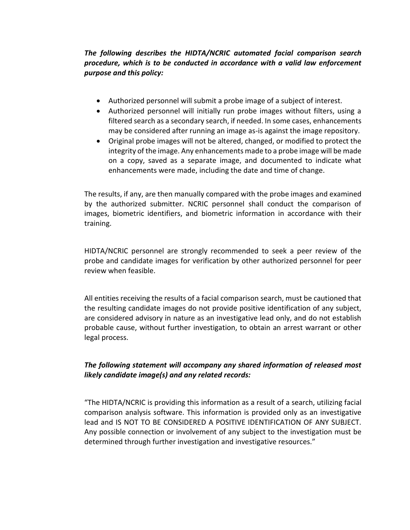# *The following describes the HIDTA/NCRIC automated facial comparison search procedure, which is to be conducted in accordance with a valid law enforcement purpose and this policy:*

- Authorized personnel will submit a probe image of a subject of interest.
- Authorized personnel will initially run probe images without filters, using a filtered search as a secondary search, if needed. In some cases, enhancements may be considered after running an image as-is against the image repository.
- Original probe images will not be altered, changed, or modified to protect the integrity of the image. Any enhancements made to a probe image will be made on a copy, saved as a separate image, and documented to indicate what enhancements were made, including the date and time of change.

The results, if any, are then manually compared with the probe images and examined by the authorized submitter. NCRIC personnel shall conduct the comparison of images, biometric identifiers, and biometric information in accordance with their training.

HIDTA/NCRIC personnel are strongly recommended to seek a peer review of the probe and candidate images for verification by other authorized personnel for peer review when feasible.

All entities receiving the results of a facial comparison search, must be cautioned that the resulting candidate images do not provide positive identification of any subject, are considered advisory in nature as an investigative lead only, and do not establish probable cause, without further investigation, to obtain an arrest warrant or other legal process.

# *The following statement will accompany any shared information of released most likely candidate image(s) and any related records:*

"The HIDTA/NCRIC is providing this information as a result of a search, utilizing facial comparison analysis software. This information is provided only as an investigative lead and IS NOT TO BE CONSIDERED A POSITIVE IDENTIFICATION OF ANY SUBJECT. Any possible connection or involvement of any subject to the investigation must be determined through further investigation and investigative resources."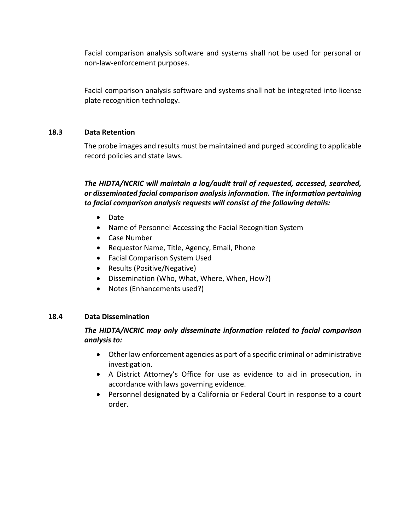Facial comparison analysis software and systems shall not be used for personal or non-law-enforcement purposes.

Facial comparison analysis software and systems shall not be integrated into license plate recognition technology.

## **18.3 Data Retention**

The probe images and results must be maintained and purged according to applicable record policies and state laws.

# *The HIDTA/NCRIC will maintain a log/audit trail of requested, accessed, searched, or disseminated facial comparison analysis information. The information pertaining to facial comparison analysis requests will consist of the following details:*

- Date
- Name of Personnel Accessing the Facial Recognition System
- Case Number
- Requestor Name, Title, Agency, Email, Phone
- Facial Comparison System Used
- Results (Positive/Negative)
- Dissemination (Who, What, Where, When, How?)
- Notes (Enhancements used?)

# **18.4 Data Dissemination**

# *The HIDTA/NCRIC may only disseminate information related to facial comparison analysis to:*

- Other law enforcement agencies as part of a specific criminal or administrative investigation.
- A District Attorney's Office for use as evidence to aid in prosecution, in accordance with laws governing evidence.
- Personnel designated by a California or Federal Court in response to a court order.